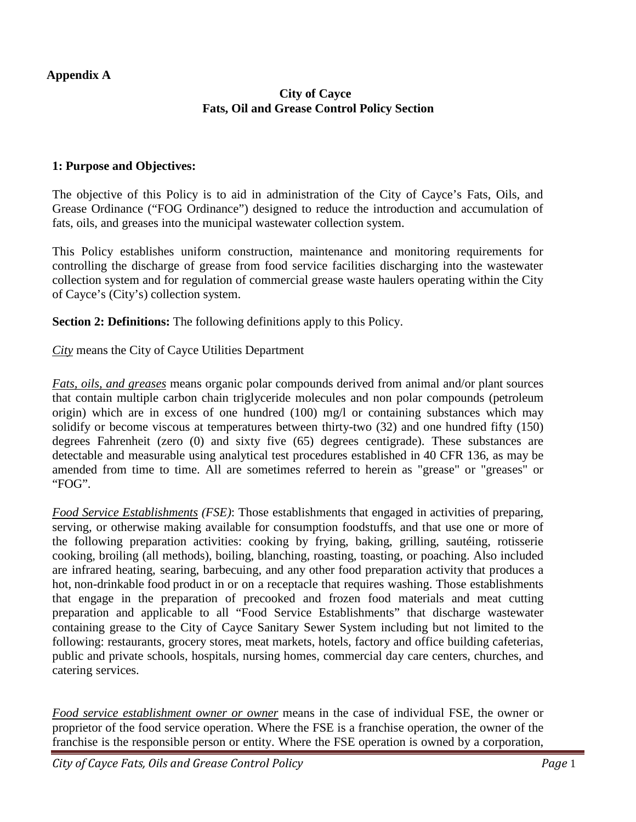#### **Appendix A**

### **City of Cayce Fats, Oil and Grease Control Policy Section**

#### **1: Purpose and Objectives:**

The objective of this Policy is to aid in administration of the City of Cayce's Fats, Oils, and Grease Ordinance ("FOG Ordinance") designed to reduce the introduction and accumulation of fats, oils, and greases into the municipal wastewater collection system.

This Policy establishes uniform construction, maintenance and monitoring requirements for controlling the discharge of grease from food service facilities discharging into the wastewater collection system and for regulation of commercial grease waste haulers operating within the City of Cayce's (City's) collection system.

**Section 2: Definitions:** The following definitions apply to this Policy.

*City* means the City of Cayce Utilities Department

*Fats, oils, and greases* means organic polar compounds derived from animal and/or plant sources that contain multiple carbon chain triglyceride molecules and non polar compounds (petroleum origin) which are in excess of one hundred (100) mg/l or containing substances which may solidify or become viscous at temperatures between thirty-two (32) and one hundred fifty (150) degrees Fahrenheit (zero (0) and sixty five (65) degrees centigrade). These substances are detectable and measurable using analytical test procedures established in 40 CFR 136, as may be amended from time to time. All are sometimes referred to herein as "grease" or "greases" or "FOG".

*Food Service Establishments (FSE)*: Those establishments that engaged in activities of preparing, serving, or otherwise making available for consumption foodstuffs, and that use one or more of the following preparation activities: cooking by frying, baking, grilling, sautéing, rotisserie cooking, broiling (all methods), boiling, blanching, roasting, toasting, or poaching. Also included are infrared heating, searing, barbecuing, and any other food preparation activity that produces a hot, non-drinkable food product in or on a receptacle that requires washing. Those establishments that engage in the preparation of precooked and frozen food materials and meat cutting preparation and applicable to all "Food Service Establishments" that discharge wastewater containing grease to the City of Cayce Sanitary Sewer System including but not limited to the following: restaurants, grocery stores, meat markets, hotels, factory and office building cafeterias, public and private schools, hospitals, nursing homes, commercial day care centers, churches, and catering services.

*Food service establishment owner or owner* means in the case of individual FSE, the owner or proprietor of the food service operation. Where the FSE is a franchise operation, the owner of the franchise is the responsible person or entity. Where the FSE operation is owned by a corporation,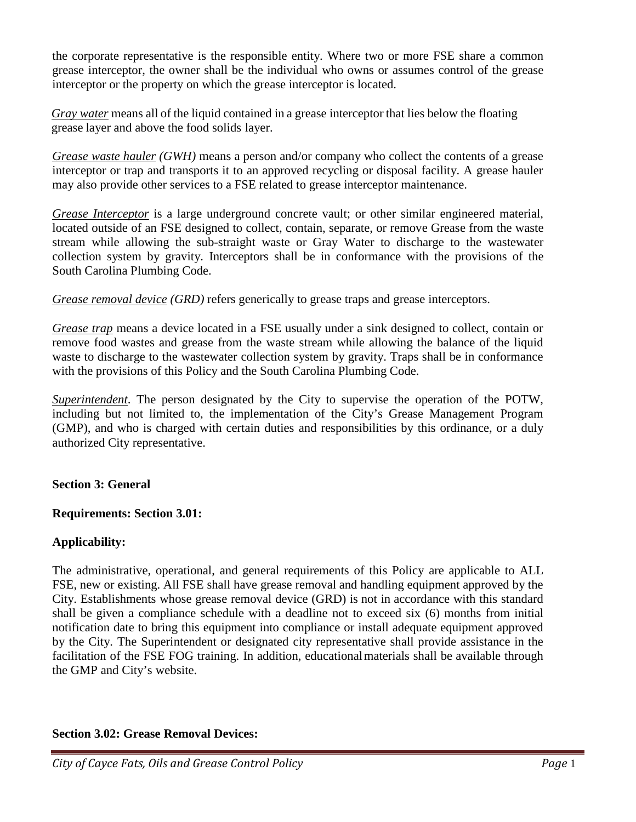the corporate representative is the responsible entity. Where two or more FSE share a common grease interceptor, the owner shall be the individual who owns or assumes control of the grease interceptor or the property on which the grease interceptor is located.

*Gray water* means all of the liquid contained in a grease interceptor that lies below the floating grease layer and above the food solids layer.

*Grease waste hauler (GWH)* means a person and/or company who collect the contents of a grease interceptor or trap and transports it to an approved recycling or disposal facility. A grease hauler may also provide other services to a FSE related to grease interceptor maintenance.

*Grease Interceptor* is a large underground concrete vault; or other similar engineered material, located outside of an FSE designed to collect, contain, separate, or remove Grease from the waste stream while allowing the sub-straight waste or Gray Water to discharge to the wastewater collection system by gravity. Interceptors shall be in conformance with the provisions of the South Carolina Plumbing Code.

*Grease removal device (GRD)* refers generically to grease traps and grease interceptors.

*Grease trap* means a device located in a FSE usually under a sink designed to collect, contain or remove food wastes and grease from the waste stream while allowing the balance of the liquid waste to discharge to the wastewater collection system by gravity. Traps shall be in conformance with the provisions of this Policy and the South Carolina Plumbing Code.

*Superintendent*. The person designated by the City to supervise the operation of the POTW, including but not limited to, the implementation of the City's Grease Management Program (GMP), and who is charged with certain duties and responsibilities by this ordinance, or a duly authorized City representative.

## **Section 3: General**

## **Requirements: Section 3.01:**

## **Applicability:**

The administrative, operational, and general requirements of this Policy are applicable to ALL FSE, new or existing. All FSE shall have grease removal and handling equipment approved by the City. Establishments whose grease removal device (GRD) is not in accordance with this standard shall be given a compliance schedule with a deadline not to exceed six (6) months from initial notification date to bring this equipment into compliance or install adequate equipment approved by the City. The Superintendent or designated city representative shall provide assistance in the facilitation of the FSE FOG training. In addition, educationalmaterials shall be available through the GMP and City's website.

# **Section 3.02: Grease Removal Devices:**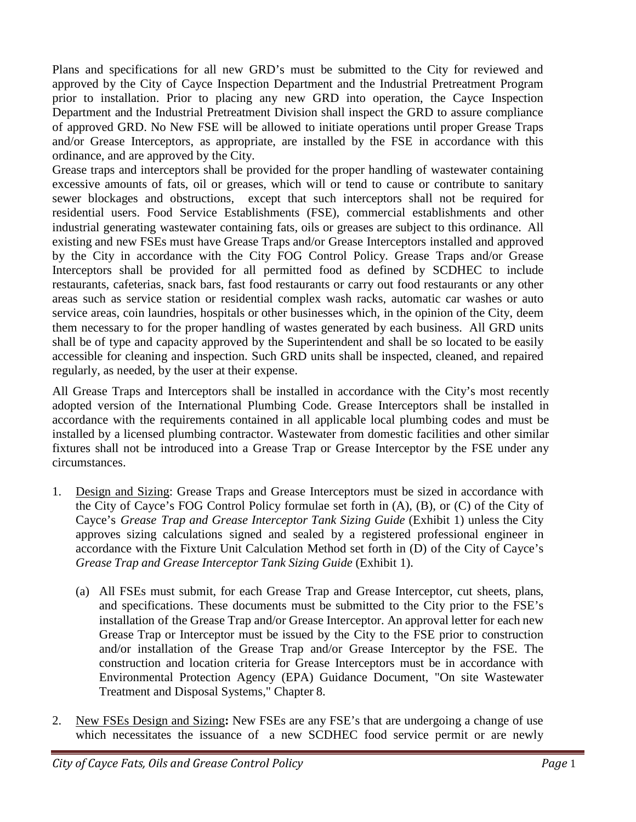Plans and specifications for all new GRD's must be submitted to the City for reviewed and approved by the City of Cayce Inspection Department and the Industrial Pretreatment Program prior to installation. Prior to placing any new GRD into operation, the Cayce Inspection Department and the Industrial Pretreatment Division shall inspect the GRD to assure compliance of approved GRD. No New FSE will be allowed to initiate operations until proper Grease Traps and/or Grease Interceptors, as appropriate, are installed by the FSE in accordance with this ordinance, and are approved by the City.

Grease traps and interceptors shall be provided for the proper handling of wastewater containing excessive amounts of fats, oil or greases, which will or tend to cause or contribute to sanitary sewer blockages and obstructions, except that such interceptors shall not be required for residential users. Food Service Establishments (FSE), commercial establishments and other industrial generating wastewater containing fats, oils or greases are subject to this ordinance. All existing and new FSEs must have Grease Traps and/or Grease Interceptors installed and approved by the City in accordance with the City FOG Control Policy. Grease Traps and/or Grease Interceptors shall be provided for all permitted food as defined by SCDHEC to include restaurants, cafeterias, snack bars, fast food restaurants or carry out food restaurants or any other areas such as service station or residential complex wash racks, automatic car washes or auto service areas, coin laundries, hospitals or other businesses which, in the opinion of the City, deem them necessary to for the proper handling of wastes generated by each business. All GRD units shall be of type and capacity approved by the Superintendent and shall be so located to be easily accessible for cleaning and inspection. Such GRD units shall be inspected, cleaned, and repaired regularly, as needed, by the user at their expense.

All Grease Traps and Interceptors shall be installed in accordance with the City's most recently adopted version of the International Plumbing Code. Grease Interceptors shall be installed in accordance with the requirements contained in all applicable local plumbing codes and must be installed by a licensed plumbing contractor. Wastewater from domestic facilities and other similar fixtures shall not be introduced into a Grease Trap or Grease Interceptor by the FSE under any circumstances.

- 1. Design and Sizing: Grease Traps and Grease Interceptors must be sized in accordance with the City of Cayce's FOG Control Policy formulae set forth in (A), (B), or (C) of the City of Cayce's *Grease Trap and Grease Interceptor Tank Sizing Guide* (Exhibit 1) unless the City approves sizing calculations signed and sealed by a registered professional engineer in accordance with the Fixture Unit Calculation Method set forth in (D) of the City of Cayce's *Grease Trap and Grease Interceptor Tank Sizing Guide* (Exhibit 1).
	- (a) All FSEs must submit, for each Grease Trap and Grease Interceptor, cut sheets, plans, and specifications. These documents must be submitted to the City prior to the FSE's installation of the Grease Trap and/or Grease Interceptor. An approval letter for each new Grease Trap or Interceptor must be issued by the City to the FSE prior to construction and/or installation of the Grease Trap and/or Grease Interceptor by the FSE. The construction and location criteria for Grease Interceptors must be in accordance with Environmental Protection Agency (EPA) Guidance Document, "On site Wastewater Treatment and Disposal Systems," Chapter 8.
- 2. New FSEs Design and Sizing**:** New FSEs are any FSE's that are undergoing a change of use which necessitates the issuance of a new SCDHEC food service permit or are newly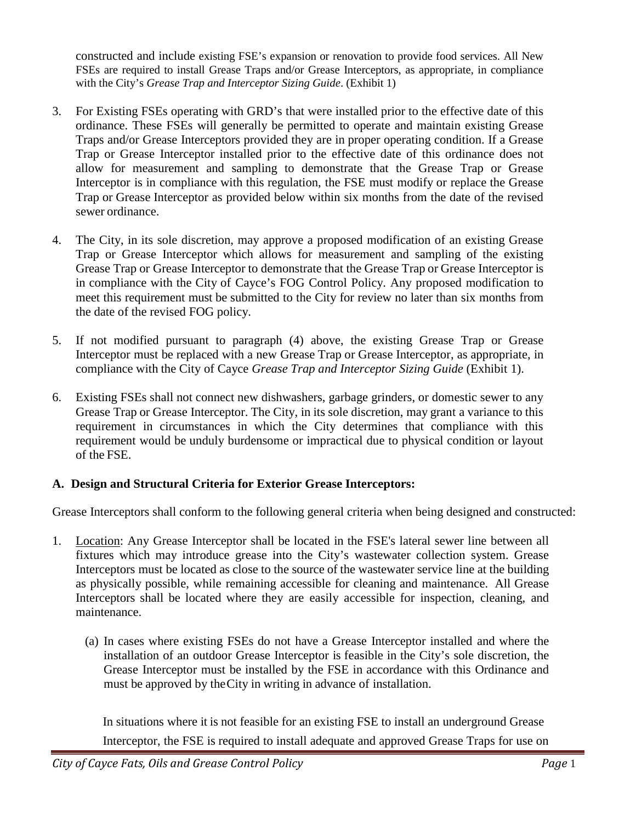constructed and include existing FSE's expansion or renovation to provide food services. All New FSEs are required to install Grease Traps and/or Grease Interceptors, as appropriate, in compliance with the City's *Grease Trap and Interceptor Sizing Guide*. (Exhibit 1)

- 3. For Existing FSEs operating with GRD's that were installed prior to the effective date of this ordinance. These FSEs will generally be permitted to operate and maintain existing Grease Traps and/or Grease Interceptors provided they are in proper operating condition. If a Grease Trap or Grease Interceptor installed prior to the effective date of this ordinance does not allow for measurement and sampling to demonstrate that the Grease Trap or Grease Interceptor is in compliance with this regulation, the FSE must modify or replace the Grease Trap or Grease Interceptor as provided below within six months from the date of the revised sewer ordinance.
- 4. The City, in its sole discretion, may approve a proposed modification of an existing Grease Trap or Grease Interceptor which allows for measurement and sampling of the existing Grease Trap or Grease Interceptor to demonstrate that the Grease Trap or Grease Interceptor is in compliance with the City of Cayce's FOG Control Policy. Any proposed modification to meet this requirement must be submitted to the City for review no later than six months from the date of the revised FOG policy.
- 5. If not modified pursuant to paragraph (4) above, the existing Grease Trap or Grease Interceptor must be replaced with a new Grease Trap or Grease Interceptor, as appropriate, in compliance with the City of Cayce *Grease Trap and Interceptor Sizing Guide* (Exhibit 1).
- 6. Existing FSEs shall not connect new dishwashers, garbage grinders, or domestic sewer to any Grease Trap or Grease Interceptor. The City, in its sole discretion, may grant a variance to this requirement in circumstances in which the City determines that compliance with this requirement would be unduly burdensome or impractical due to physical condition or layout of the FSE.

## **A. Design and Structural Criteria for Exterior Grease Interceptors:**

Grease Interceptors shall conform to the following general criteria when being designed and constructed:

- 1. Location: Any Grease Interceptor shall be located in the FSE's lateral sewer line between all fixtures which may introduce grease into the City's wastewater collection system. Grease Interceptors must be located as close to the source of the wastewater service line at the building as physically possible, while remaining accessible for cleaning and maintenance. All Grease Interceptors shall be located where they are easily accessible for inspection, cleaning, and maintenance.
	- (a) In cases where existing FSEs do not have a Grease Interceptor installed and where the installation of an outdoor Grease Interceptor is feasible in the City's sole discretion, the Grease Interceptor must be installed by the FSE in accordance with this Ordinance and must be approved by theCity in writing in advance of installation.

In situations where it is not feasible for an existing FSE to install an underground Grease Interceptor, the FSE is required to install adequate and approved Grease Traps for use on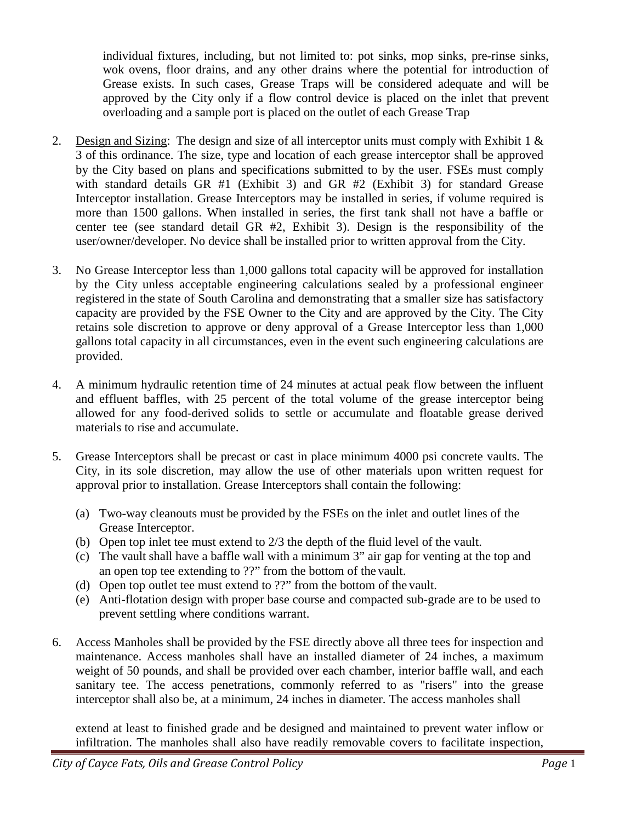individual fixtures, including, but not limited to: pot sinks, mop sinks, pre-rinse sinks, wok ovens, floor drains, and any other drains where the potential for introduction of Grease exists. In such cases, Grease Traps will be considered adequate and will be approved by the City only if a flow control device is placed on the inlet that prevent overloading and a sample port is placed on the outlet of each Grease Trap

- 2. Design and Sizing: The design and size of all interceptor units must comply with Exhibit 1 & 3 of this ordinance. The size, type and location of each grease interceptor shall be approved by the City based on plans and specifications submitted to by the user. FSEs must comply with standard details GR #1 (Exhibit 3) and GR #2 (Exhibit 3) for standard Grease Interceptor installation. Grease Interceptors may be installed in series, if volume required is more than 1500 gallons. When installed in series, the first tank shall not have a baffle or center tee (see standard detail GR #2, Exhibit 3). Design is the responsibility of the user/owner/developer. No device shall be installed prior to written approval from the City.
- 3. No Grease Interceptor less than 1,000 gallons total capacity will be approved for installation by the City unless acceptable engineering calculations sealed by a professional engineer registered in the state of South Carolina and demonstrating that a smaller size has satisfactory capacity are provided by the FSE Owner to the City and are approved by the City. The City retains sole discretion to approve or deny approval of a Grease Interceptor less than 1,000 gallons total capacity in all circumstances, even in the event such engineering calculations are provided.
- 4. A minimum hydraulic retention time of 24 minutes at actual peak flow between the influent and effluent baffles, with 25 percent of the total volume of the grease interceptor being allowed for any food-derived solids to settle or accumulate and floatable grease derived materials to rise and accumulate.
- 5. Grease Interceptors shall be precast or cast in place minimum 4000 psi concrete vaults. The City, in its sole discretion, may allow the use of other materials upon written request for approval prior to installation. Grease Interceptors shall contain the following:
	- (a) Two-way cleanouts must be provided by the FSEs on the inlet and outlet lines of the Grease Interceptor.
	- (b) Open top inlet tee must extend to 2/3 the depth of the fluid level of the vault.
	- (c) The vault shall have a baffle wall with a minimum 3" air gap for venting at the top and an open top tee extending to ??" from the bottom of the vault.
	- (d) Open top outlet tee must extend to ??" from the bottom of the vault.
	- (e) Anti-flotation design with proper base course and compacted sub-grade are to be used to prevent settling where conditions warrant.
- 6. Access Manholes shall be provided by the FSE directly above all three tees for inspection and maintenance. Access manholes shall have an installed diameter of 24 inches, a maximum weight of 50 pounds, and shall be provided over each chamber, interior baffle wall, and each sanitary tee. The access penetrations, commonly referred to as "risers" into the grease interceptor shall also be, at a minimum, 24 inches in diameter. The access manholes shall

extend at least to finished grade and be designed and maintained to prevent water inflow or infiltration. The manholes shall also have readily removable covers to facilitate inspection,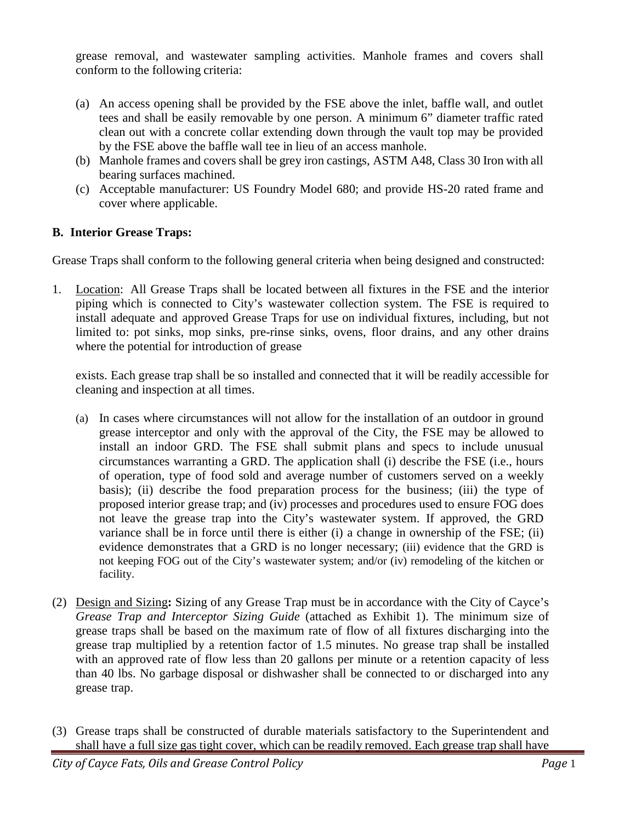grease removal, and wastewater sampling activities. Manhole frames and covers shall conform to the following criteria:

- (a) An access opening shall be provided by the FSE above the inlet, baffle wall, and outlet tees and shall be easily removable by one person. A minimum 6" diameter traffic rated clean out with a concrete collar extending down through the vault top may be provided by the FSE above the baffle wall tee in lieu of an access manhole.
- (b) Manhole frames and covers shall be grey iron castings, ASTM A48, Class 30 Iron with all bearing surfaces machined.
- (c) Acceptable manufacturer: US Foundry Model 680; and provide HS-20 rated frame and cover where applicable.

## **B. Interior Grease Traps:**

Grease Traps shall conform to the following general criteria when being designed and constructed:

1. Location: All Grease Traps shall be located between all fixtures in the FSE and the interior piping which is connected to City's wastewater collection system. The FSE is required to install adequate and approved Grease Traps for use on individual fixtures, including, but not limited to: pot sinks, mop sinks, pre-rinse sinks, ovens, floor drains, and any other drains where the potential for introduction of grease

exists. Each grease trap shall be so installed and connected that it will be readily accessible for cleaning and inspection at all times.

- (a) In cases where circumstances will not allow for the installation of an outdoor in ground grease interceptor and only with the approval of the City, the FSE may be allowed to install an indoor GRD. The FSE shall submit plans and specs to include unusual circumstances warranting a GRD. The application shall (i) describe the FSE (i.e., hours of operation, type of food sold and average number of customers served on a weekly basis); (ii) describe the food preparation process for the business; (iii) the type of proposed interior grease trap; and (iv) processes and procedures used to ensure FOG does not leave the grease trap into the City's wastewater system. If approved, the GRD variance shall be in force until there is either (i) a change in ownership of the FSE; (ii) evidence demonstrates that a GRD is no longer necessary; (iii) evidence that the GRD is not keeping FOG out of the City's wastewater system; and/or (iv) remodeling of the kitchen or facility.
- (2) Design and Sizing**:** Sizing of any Grease Trap must be in accordance with the City of Cayce's *Grease Trap and Interceptor Sizing Guide* (attached as Exhibit 1). The minimum size of grease traps shall be based on the maximum rate of flow of all fixtures discharging into the grease trap multiplied by a retention factor of 1.5 minutes. No grease trap shall be installed with an approved rate of flow less than 20 gallons per minute or a retention capacity of less than 40 lbs. No garbage disposal or dishwasher shall be connected to or discharged into any grease trap.
- (3) Grease traps shall be constructed of durable materials satisfactory to the Superintendent and shall have a full size gas tight cover, which can be readily removed. Each grease trap shall have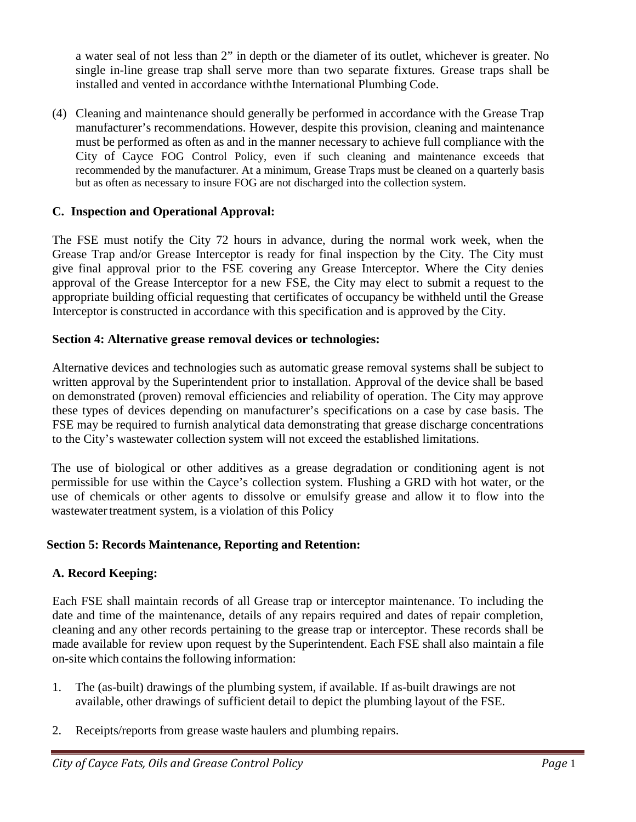a water seal of not less than 2" in depth or the diameter of its outlet, whichever is greater. No single in-line grease trap shall serve more than two separate fixtures. Grease traps shall be installed and vented in accordance withthe International Plumbing Code.

(4) Cleaning and maintenance should generally be performed in accordance with the Grease Trap manufacturer's recommendations. However, despite this provision, cleaning and maintenance must be performed as often as and in the manner necessary to achieve full compliance with the City of Cayce FOG Control Policy, even if such cleaning and maintenance exceeds that recommended by the manufacturer. At a minimum, Grease Traps must be cleaned on a quarterly basis but as often as necessary to insure FOG are not discharged into the collection system.

### **C. Inspection and Operational Approval:**

The FSE must notify the City 72 hours in advance, during the normal work week, when the Grease Trap and/or Grease Interceptor is ready for final inspection by the City. The City must give final approval prior to the FSE covering any Grease Interceptor. Where the City denies approval of the Grease Interceptor for a new FSE, the City may elect to submit a request to the appropriate building official requesting that certificates of occupancy be withheld until the Grease Interceptor is constructed in accordance with this specification and is approved by the City.

#### **Section 4: Alternative grease removal devices or technologies:**

Alternative devices and technologies such as automatic grease removal systems shall be subject to written approval by the Superintendent prior to installation. Approval of the device shall be based on demonstrated (proven) removal efficiencies and reliability of operation. The City may approve these types of devices depending on manufacturer's specifications on a case by case basis. The FSE may be required to furnish analytical data demonstrating that grease discharge concentrations to the City's wastewater collection system will not exceed the established limitations.

The use of biological or other additives as a grease degradation or conditioning agent is not permissible for use within the Cayce's collection system. Flushing a GRD with hot water, or the use of chemicals or other agents to dissolve or emulsify grease and allow it to flow into the wastewater treatment system, is a violation of this Policy

#### **Section 5: Records Maintenance, Reporting and Retention:**

#### **A. Record Keeping:**

Each FSE shall maintain records of all Grease trap or interceptor maintenance. To including the date and time of the maintenance, details of any repairs required and dates of repair completion, cleaning and any other records pertaining to the grease trap or interceptor. These records shall be made available for review upon request by the Superintendent. Each FSE shall also maintain a file on-site which containsthe following information:

- 1. The (as-built) drawings of the plumbing system, if available. If as-built drawings are not available, other drawings of sufficient detail to depict the plumbing layout of the FSE.
- 2. Receipts/reports from grease waste haulers and plumbing repairs.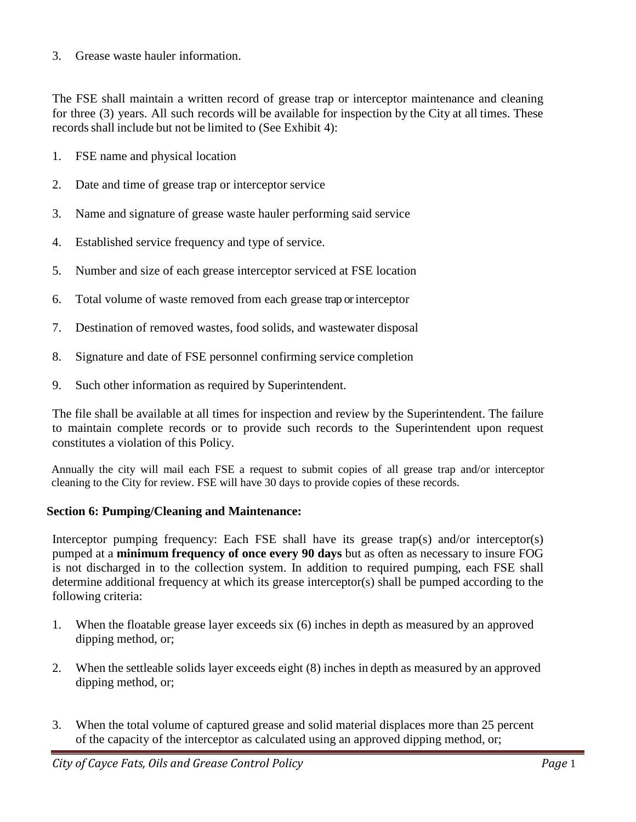3. Grease waste hauler information.

The FSE shall maintain a written record of grease trap or interceptor maintenance and cleaning for three (3) years. All such records will be available for inspection by the City at all times. These records shall include but not be limited to (See Exhibit 4):

- 1. FSE name and physical location
- 2. Date and time of grease trap or interceptor service
- 3. Name and signature of grease waste hauler performing said service
- 4. Established service frequency and type of service.
- 5. Number and size of each grease interceptor serviced at FSE location
- 6. Total volume of waste removed from each grease trap or interceptor
- 7. Destination of removed wastes, food solids, and wastewater disposal
- 8. Signature and date of FSE personnel confirming service completion
- 9. Such other information as required by Superintendent.

The file shall be available at all times for inspection and review by the Superintendent. The failure to maintain complete records or to provide such records to the Superintendent upon request constitutes a violation of this Policy.

Annually the city will mail each FSE a request to submit copies of all grease trap and/or interceptor cleaning to the City for review. FSE will have 30 days to provide copies of these records.

#### **Section 6: Pumping/Cleaning and Maintenance:**

Interceptor pumping frequency: Each FSE shall have its grease trap(s) and/or interceptor(s) pumped at a **minimum frequency of once every 90 days** but as often as necessary to insure FOG is not discharged in to the collection system. In addition to required pumping, each FSE shall determine additional frequency at which its grease interceptor(s) shall be pumped according to the following criteria:

- 1. When the floatable grease layer exceeds six (6) inches in depth as measured by an approved dipping method, or;
- 2. When the settleable solids layer exceeds eight (8) inches in depth as measured by an approved dipping method, or;
- 3. When the total volume of captured grease and solid material displaces more than 25 percent of the capacity of the interceptor as calculated using an approved dipping method, or;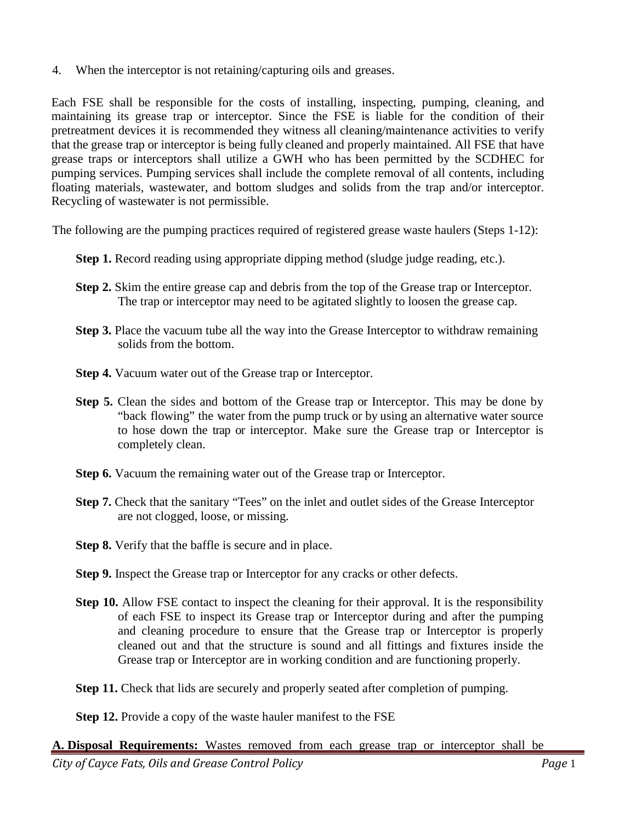4. When the interceptor is not retaining/capturing oils and greases.

Each FSE shall be responsible for the costs of installing, inspecting, pumping, cleaning, and maintaining its grease trap or interceptor. Since the FSE is liable for the condition of their pretreatment devices it is recommended they witness all cleaning/maintenance activities to verify that the grease trap or interceptor is being fully cleaned and properly maintained. All FSE that have grease traps or interceptors shall utilize a GWH who has been permitted by the SCDHEC for pumping services. Pumping services shall include the complete removal of all contents, including floating materials, wastewater, and bottom sludges and solids from the trap and/or interceptor. Recycling of wastewater is not permissible.

The following are the pumping practices required of registered grease waste haulers (Steps 1-12):

- **Step 1.** Record reading using appropriate dipping method (sludge judge reading, etc.).
- **Step 2.** Skim the entire grease cap and debris from the top of the Grease trap or Interceptor. The trap or interceptor may need to be agitated slightly to loosen the grease cap.
- **Step 3.** Place the vacuum tube all the way into the Grease Interceptor to withdraw remaining solids from the bottom.
- **Step 4.** Vacuum water out of the Grease trap or Interceptor.
- **Step 5.** Clean the sides and bottom of the Grease trap or Interceptor. This may be done by "back flowing" the water from the pump truck or by using an alternative water source to hose down the trap or interceptor. Make sure the Grease trap or Interceptor is completely clean.
- **Step 6.** Vacuum the remaining water out of the Grease trap or Interceptor.
- **Step 7.** Check that the sanitary "Tees" on the inlet and outlet sides of the Grease Interceptor are not clogged, loose, or missing.
- **Step 8.** Verify that the baffle is secure and in place.
- **Step 9.** Inspect the Grease trap or Interceptor for any cracks or other defects.
- **Step 10.** Allow FSE contact to inspect the cleaning for their approval. It is the responsibility of each FSE to inspect its Grease trap or Interceptor during and after the pumping and cleaning procedure to ensure that the Grease trap or Interceptor is properly cleaned out and that the structure is sound and all fittings and fixtures inside the Grease trap or Interceptor are in working condition and are functioning properly.
- **Step 11.** Check that lids are securely and properly seated after completion of pumping.

**Step 12.** Provide a copy of the waste hauler manifest to the FSE

*City of Cayce Fats, Oils and Grease Control Policy Page* 1 **A. Disposal Requirements:** Wastes removed from each grease trap or interceptor shall be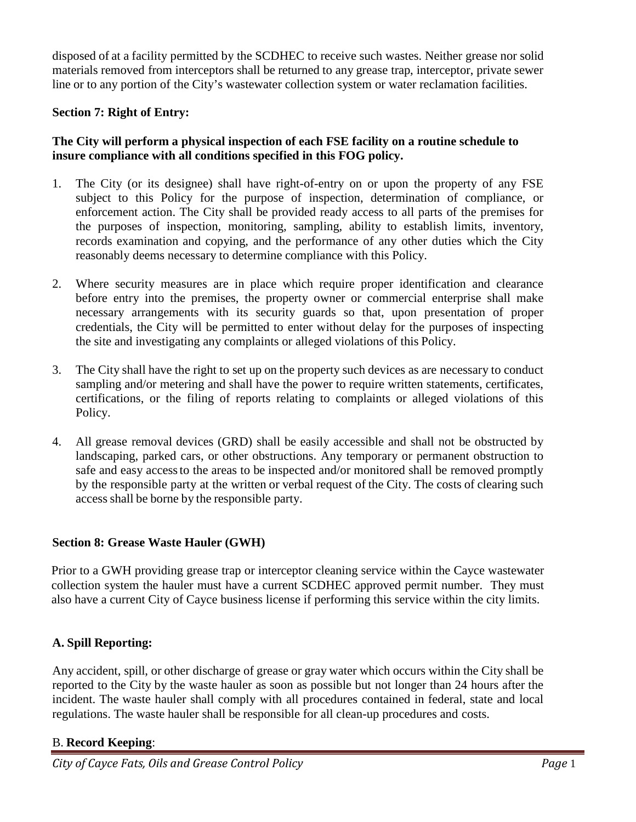disposed of at a facility permitted by the SCDHEC to receive such wastes. Neither grease nor solid materials removed from interceptors shall be returned to any grease trap, interceptor, private sewer line or to any portion of the City's wastewater collection system or water reclamation facilities.

## **Section 7: Right of Entry:**

### **The City will perform a physical inspection of each FSE facility on a routine schedule to insure compliance with all conditions specified in this FOG policy.**

- 1. The City (or its designee) shall have right-of-entry on or upon the property of any FSE subject to this Policy for the purpose of inspection, determination of compliance, or enforcement action. The City shall be provided ready access to all parts of the premises for the purposes of inspection, monitoring, sampling, ability to establish limits, inventory, records examination and copying, and the performance of any other duties which the City reasonably deems necessary to determine compliance with this Policy.
- 2. Where security measures are in place which require proper identification and clearance before entry into the premises, the property owner or commercial enterprise shall make necessary arrangements with its security guards so that, upon presentation of proper credentials, the City will be permitted to enter without delay for the purposes of inspecting the site and investigating any complaints or alleged violations of this Policy.
- 3. The City shall have the right to set up on the property such devices as are necessary to conduct sampling and/or metering and shall have the power to require written statements, certificates, certifications, or the filing of reports relating to complaints or alleged violations of this Policy.
- 4. All grease removal devices (GRD) shall be easily accessible and shall not be obstructed by landscaping, parked cars, or other obstructions. Any temporary or permanent obstruction to safe and easy accessto the areas to be inspected and/or monitored shall be removed promptly by the responsible party at the written or verbal request of the City. The costs of clearing such access shall be borne by the responsible party.

## **Section 8: Grease Waste Hauler (GWH)**

Prior to a GWH providing grease trap or interceptor cleaning service within the Cayce wastewater collection system the hauler must have a current SCDHEC approved permit number. They must also have a current City of Cayce business license if performing this service within the city limits.

## **A. Spill Reporting:**

Any accident, spill, or other discharge of grease or gray water which occurs within the City shall be reported to the City by the waste hauler as soon as possible but not longer than 24 hours after the incident. The waste hauler shall comply with all procedures contained in federal, state and local regulations. The waste hauler shall be responsible for all clean-up procedures and costs.

#### B. **Record Keeping**: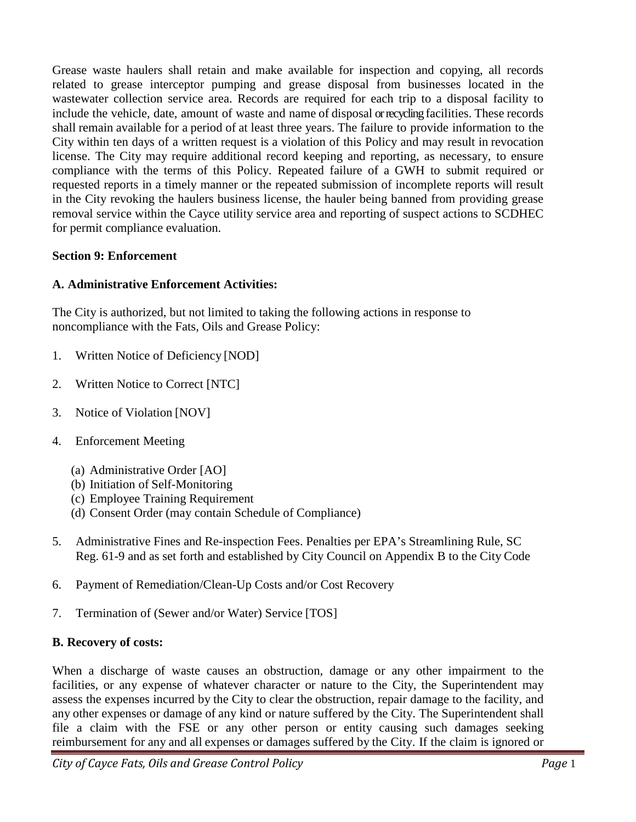Grease waste haulers shall retain and make available for inspection and copying, all records related to grease interceptor pumping and grease disposal from businesses located in the wastewater collection service area. Records are required for each trip to a disposal facility to include the vehicle, date, amount of waste and name of disposal or recycling facilities. These records shall remain available for a period of at least three years. The failure to provide information to the City within ten days of a written request is a violation of this Policy and may result in revocation license. The City may require additional record keeping and reporting, as necessary, to ensure compliance with the terms of this Policy. Repeated failure of a GWH to submit required or requested reports in a timely manner or the repeated submission of incomplete reports will result in the City revoking the haulers business license, the hauler being banned from providing grease removal service within the Cayce utility service area and reporting of suspect actions to SCDHEC for permit compliance evaluation.

### **Section 9: Enforcement**

### **A. Administrative Enforcement Activities:**

The City is authorized, but not limited to taking the following actions in response to noncompliance with the Fats, Oils and Grease Policy:

- 1. Written Notice of Deficiency [NOD]
- 2. Written Notice to Correct [NTC]
- 3. Notice of Violation [NOV]
- 4. Enforcement Meeting
	- (a) Administrative Order [AO]
	- (b) Initiation of Self-Monitoring
	- (c) Employee Training Requirement
	- (d) Consent Order (may contain Schedule of Compliance)
- 5. Administrative Fines and Re-inspection Fees. Penalties per EPA's Streamlining Rule, SC Reg. 61-9 and as set forth and established by City Council on Appendix B to the City Code
- 6. Payment of Remediation/Clean-Up Costs and/or Cost Recovery
- 7. Termination of (Sewer and/or Water) Service [TOS]

#### **B. Recovery of costs:**

When a discharge of waste causes an obstruction, damage or any other impairment to the facilities, or any expense of whatever character or nature to the City, the Superintendent may assess the expenses incurred by the City to clear the obstruction, repair damage to the facility, and any other expenses or damage of any kind or nature suffered by the City. The Superintendent shall file a claim with the FSE or any other person or entity causing such damages seeking reimbursement for any and all expenses or damages suffered by the City. If the claim is ignored or